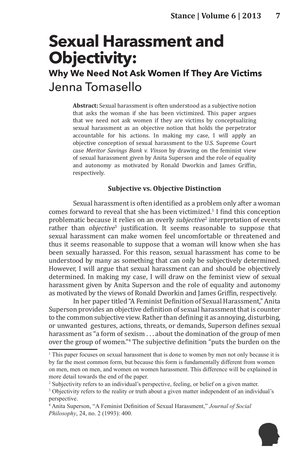# **Sexual Harassment and Objectivity:**

# **Why We Need Not Ask Women If They Are Victims** Jenna Tomasello

**Abstract:** Sexual harassment is often understood as a subjective notion that asks the woman if she has been victimized. This paper argues that we need not ask women if they are victims by conceptualizing sexual harassment as an objective notion that holds the perpetrator accountable for his actions. In making my case, I will apply an objective conception of sexual harassment to the U.S. Supreme Court case *Meritor Savings Bank v. Vinson* by drawing on the feminist view of sexual harassment given by Anita Superson and the role of equality and autonomy as motivated by Ronald Dworkin and James Griffin, respectively.

## **Subjective vs. Objective Distinction**

Sexual harassment is often identified as a problem only after a woman comes forward to reveal that she has been victimized.<sup>1</sup> I find this conception problematic because it relies on an overly *subjective*<sup>2</sup> interpretation of events rather than *objective*<sup>3</sup> justification. It seems reasonable to suppose that sexual harassment can make women feel uncomfortable or threatened and thus it seems reasonable to suppose that a woman will know when she has been sexually harassed. For this reason, sexual harassment has come to be understood by many as something that can only be subjectively determined. However, I will argue that sexual harassment can and should be objectively determined. In making my case, I will draw on the feminist view of sexual harassment given by Anita Superson and the role of equality and autonomy as motivated by the views of Ronald Dworkin and James Griffin, respectively.

In her paper titled "A Feminist Definition of Sexual Harassment," Anita Superson provides an objective definition of sexual harassment that is counter to the common subjective view. Rather than defining it as annoying, disturbing, or unwanted gestures, actions, threats, or demands, Superson defines sexual harassment as "a form of sexism . . . about the domination of the group of men over the group of women."<sup>4</sup> The subjective definition "puts the burden on the

<sup>4</sup> Anita Superson, "A Feminist Definition of Sexual Harassment," *Journal of Social Philosophy*, 24, no. 2 (1993): 400.



<sup>&</sup>lt;sup>1</sup> This paper focuses on sexual harassment that is done to women by men not only because it is by far the most common form, but because this form is fundamentally different from women on men, men on men, and women on women harassment. This difference will be explained in more detail towards the end of the paper.

<sup>&</sup>lt;sup>2</sup> Subjectivity refers to an individual's perspective, feeling, or belief on a given matter.

<sup>&</sup>lt;sup>3</sup> Objectivity refers to the reality or truth about a given matter independent of an individual's perspective.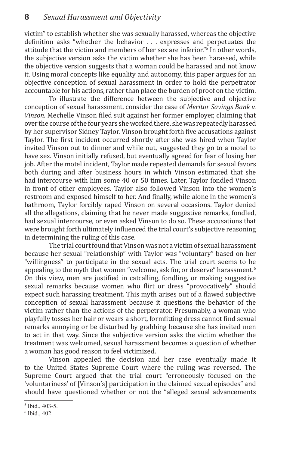victim" to establish whether she was sexually harassed, whereas the objective definition asks "whether the behavior . . . expresses and perpetuates the attitude that the victim and members of her sex are inferior."<sup>5</sup> In other words, the subjective version asks the victim whether she has been harassed, while the objective version suggests that a woman could be harassed and not know it. Using moral concepts like equality and autonomy, this paper argues for an objective conception of sexual harassment in order to hold the perpetrator accountable for his actions, rather than place the burden of proof on the victim.

To illustrate the difference between the subjective and objective conception of sexual harassment, consider the case of *Meritor Savings Bank v. Vinson*. Mechelle Vinson filed suit against her former employer, claiming that over the course of the four years she worked there, she was repeatedly harassed by her supervisor Sidney Taylor. Vinson brought forth five accusations against Taylor. The first incident occurred shortly after she was hired when Taylor invited Vinson out to dinner and while out, suggested they go to a motel to have sex. Vinson initially refused, but eventually agreed for fear of losing her job. After the motel incident, Taylor made repeated demands for sexual favors both during and after business hours in which Vinson estimated that she had intercourse with him some 40 or 50 times. Later, Taylor fondled Vinson in front of other employees. Taylor also followed Vinson into the women's restroom and exposed himself to her. And finally, while alone in the women's bathroom, Taylor forcibly raped Vinson on several occasions. Taylor denied all the allegations, claiming that he never made suggestive remarks, fondled, had sexual intercourse, or even asked Vinson to do so. These accusations that were brought forth ultimately influenced the trial court's subjective reasoning in determining the ruling of this case.

The trial court found that Vinson was not a victim of sexual harassment because her sexual "relationship" with Taylor was "voluntary" based on her "willingness" to participate in the sexual acts. The trial court seems to be appealing to the myth that women "welcome, ask for, or deserve" harassment.<sup>6</sup> On this view, men are justified in catcalling, fondling, or making suggestive sexual remarks because women who flirt or dress "provocatively" should expect such harassing treatment. This myth arises out of a flawed subjective conception of sexual harassment because it questions the behavior of the victim rather than the actions of the perpetrator. Presumably, a woman who playfully tosses her hair or wears a short, formfitting dress cannot find sexual remarks annoying or be disturbed by grabbing because she has invited men to act in that way. Since the subjective version asks the victim whether the treatment was welcomed, sexual harassment becomes a question of whether a woman has good reason to feel victimized.

Vinson appealed the decision and her case eventually made it to the United States Supreme Court where the ruling was reversed. The Supreme Court argued that the trial court "erroneously focused on the 'voluntariness' of [Vinson's] participation in the claimed sexual episodes" and should have questioned whether or not the "alleged sexual advancements

<sup>5</sup> Ibid., 403-5.

<sup>6</sup> Ibid., 402.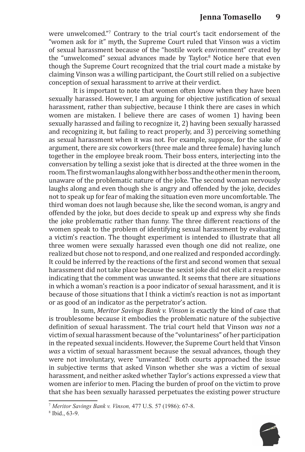were unwelcomed."<sup>7</sup> Contrary to the trial court's tacit endorsement of the "women ask for it" myth, the Supreme Court ruled that Vinson was a victim of sexual harassment because of the "hostile work environment" created by the "unwelcomed" sexual advances made by Taylor.<sup>8</sup> Notice here that even though the Supreme Court recognized that the trial court made a mistake by claiming Vinson was a willing participant, the Court still relied on a subjective conception of sexual harassment to arrive at their verdict.

It is important to note that women often know when they have been sexually harassed. However, I am arguing for objective justification of sexual harassment, rather than subjective, because I think there are cases in which women are mistaken. I believe there are cases of women 1) having been sexually harassed and failing to recognize it, 2) having been sexually harassed and recognizing it, but failing to react properly, and 3) perceiving something as sexual harassment when it was not. For example, suppose, for the sake of argument, there are six coworkers (three male and three female) having lunch together in the employee break room. Their boss enters, interjecting into the conversation by telling a sexist joke that is directed at the three women in the room. The first woman laughs along with her boss and the other men in the room, unaware of the problematic nature of the joke. The second woman nervously laughs along and even though she is angry and offended by the joke, decides not to speak up for fear of making the situation even more uncomfortable. The third woman does not laugh because she, like the second woman, is angry and offended by the joke, but does decide to speak up and express why she finds the joke problematic rather than funny. The three different reactions of the women speak to the problem of identifying sexual harassment by evaluating a victim's reaction. The thought experiment is intended to illustrate that all three women were sexually harassed even though one did not realize, one realized but chose not to respond, and one realized and responded accordingly. It could be inferred by the reactions of the first and second women that sexual harassment did not take place because the sexist joke did not elicit a response indicating that the comment was unwanted. It seems that there are situations in which a woman's reaction is a poor indicator of sexual harassment, and it is because of those situations that I think a victim's reaction is not as important or as good of an indicator as the perpetrator's action.

In sum, *Meritor Savings Bank v. Vinson* is exactly the kind of case that is troublesome because it embodies the problematic nature of the subjective definition of sexual harassment. The trial court held that Vinson *was not* a victim of sexual harassment because of the "voluntariness" of her participation in the repeated sexual incidents. However, the Supreme Court held that Vinson *was* a victim of sexual harassment because the sexual advances, though they were not involuntary, were "unwanted." Both courts approached the issue in subjective terms that asked Vinson whether she was a victim of sexual harassment, and neither asked whether Taylor's actions expressed a view that women are inferior to men. Placing the burden of proof on the victim to prove that she has been sexually harassed perpetuates the existing power structure



<sup>7</sup> *Meritor Savings Bank v. Vinson,* 477 U.S. 57 (1986): 67-8.

<sup>8</sup> Ibid., 63-9.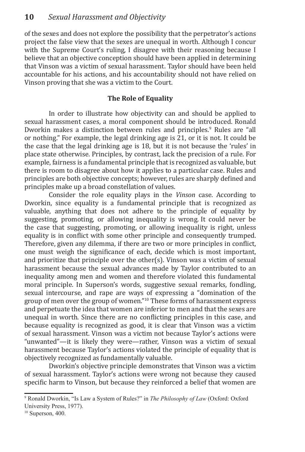of the sexes and does not explore the possibility that the perpetrator's actions project the false view that the sexes are unequal in worth. Although I concur with the Supreme Court's ruling, I disagree with their reasoning because I believe that an objective conception should have been applied in determining that Vinson was a victim of sexual harassment. Taylor should have been held accountable for his actions, and his accountability should not have relied on Vinson proving that she was a victim to the Court.

## **The Role of Equality**

In order to illustrate how objectivity can and should be applied to sexual harassment cases, a moral component should be introduced. Ronald Dworkin makes a distinction between rules and principles.<sup>9</sup> Rules are "all or nothing." For example, the legal drinking age is 21, or it is not. It could be the case that the legal drinking age is 18, but it is not because the 'rules' in place state otherwise. Principles, by contrast, lack the precision of a rule. For example, fairness is a fundamental principle that is recognized as valuable, but there is room to disagree about how it applies to a particular case. Rules and principles are both objective concepts; however, rules are sharply defined and principles make up a broad constellation of values.

Consider the role equality plays in the *Vinson* case. According to Dworkin, since equality is a fundamental principle that is recognized as valuable, anything that does not adhere to the principle of equality by suggesting, promoting, or allowing inequality is wrong. It could never be the case that suggesting, promoting, or allowing inequality is right, unless equality is in conflict with some other principle and consequently trumped. Therefore, given any dilemma, if there are two or more principles in conflict, one must weigh the significance of each, decide which is most important, and prioritize that principle over the other(s). Vinson was a victim of sexual harassment because the sexual advances made by Taylor contributed to an inequality among men and women and therefore violated this fundamental moral principle. In Superson's words, suggestive sexual remarks, fondling, sexual intercourse, and rape are ways of expressing a "domination of the group of men over the group of women."10 These forms of harassment express and perpetuate the idea that women are inferior to men and that the sexes are unequal in worth. Since there are no conflicting principles in this case, and because equality is recognized as good, it is clear that Vinson was a victim of sexual harassment. Vinson was a victim not because Taylor's actions were "unwanted"—it is likely they were—rather, Vinson was a victim of sexual harassment because Taylor's actions violated the principle of equality that is objectively recognized as fundamentally valuable.

Dworkin's objective principle demonstrates that Vinson was a victim of sexual harassment. Taylor's actions were wrong not because they caused specific harm to Vinson, but because they reinforced a belief that women are

<sup>9</sup> Ronald Dworkin, "Is Law a System of Rules?" in *The Philosophy of Law* (Oxford: Oxford University Press, 1977).

 $10$  Superson, 400.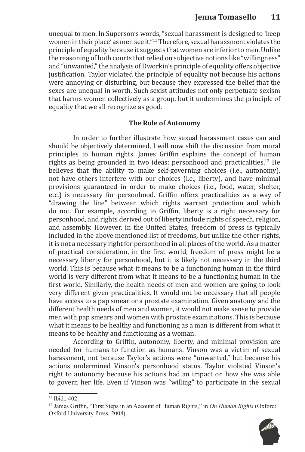unequal to men. In Superson's words, "sexual harassment is designed to 'keep women in their place' as men see it."11 Therefore, sexual harassment violates the principle of equality because it suggests that women are inferior to men. Unlike the reasoning of both courts that relied on subjective notions like "willingness" and "unwanted," the analysis of Dworkin's principle of equality offers objective justification. Taylor violated the principle of equality not because his actions were annoying or disturbing, but because they expressed the belief that the sexes are unequal in worth. Such sexist attitudes not only perpetuate sexism that harms women collectively as a group, but it undermines the principle of equality that we all recognize as good.

#### **The Role of Autonomy**

In order to further illustrate how sexual harassment cases can and should be objectively determined, I will now shift the discussion from moral principles to human rights. James Griffin explains the concept of human rights as being grounded in two ideas: personhood and practicalities.12 He believes that the ability to make self-governing choices (i.e., autonomy), not have others interfere with our choices (i.e., liberty), and have minimal provisions guaranteed in order to make choices (i.e., food, water, shelter, etc.) is necessary for personhood. Griffin offers practicalities as a way of "drawing the line" between which rights warrant protection and which do not. For example, according to Griffin, liberty is a right necessary for personhood, and rights derived out of liberty include rights of speech, religion, and assembly. However, in the United States, freedom of press is typically included in the above mentioned list of freedoms, but unlike the other rights, it is not a necessary right for personhood in all places of the world. As a matter of practical consideration, in the first world, freedom of press might be a necessary liberty for personhood, but it is likely not necessary in the third world. This is because what it means to be a functioning human in the third world is very different from what it means to be a functioning human in the first world. Similarly, the health needs of men and women are going to look very different given practicalities. It would not be necessary that all people have access to a pap smear or a prostate examination. Given anatomy and the different health needs of men and women, it would not make sense to provide men with pap smears and women with prostate examinations. This is because what it means to be healthy and functioning as a man is different from what it means to be healthy and functioning as a woman.

According to Griffin, autonomy, liberty, and minimal provision are needed for humans to function as humans. Vinson was a victim of sexual harassment, not because Taylor's actions were "unwanted," but because his actions undermined Vinson's personhood status. Taylor violated Vinson's right to autonomy because his actions had an impact on how she was able to govern her life. Even if Vinson was "willing" to participate in the sexual

<sup>12</sup> James Griffin, "First Steps in an Account of Human Rights," in *On Human Rights* (Oxford: Oxford University Press, 2008).



<sup>&</sup>lt;sup>11</sup> Ibid., 402.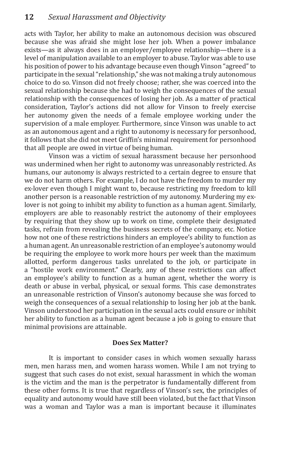acts with Taylor, her ability to make an autonomous decision was obscured because she was afraid she might lose her job. When a power imbalance exists—as it always does in an employer/employee relationship—there is a level of manipulation available to an employer to abuse. Taylor was able to use his position of power to his advantage because even though Vinson "agreed" to participate in the sexual "relationship," she was not making a truly autonomous choice to do so. Vinson did not freely choose; rather, she was coerced into the sexual relationship because she had to weigh the consequences of the sexual relationship with the consequences of losing her job. As a matter of practical consideration, Taylor's actions did not allow for Vinson to freely exercise her autonomy given the needs of a female employee working under the supervision of a male employer. Furthermore, since Vinson was unable to act as an autonomous agent and a right to autonomy is necessary for personhood, it follows that she did not meet Griffin's minimal requirement for personhood that all people are owed in virtue of being human.

Vinson was a victim of sexual harassment because her personhood was undermined when her right to autonomy was unreasonably restricted. As humans, our autonomy is always restricted to a certain degree to ensure that we do not harm others. For example, I do not have the freedom to murder my ex-lover even though I might want to, because restricting my freedom to kill another person is a reasonable restriction of my autonomy. Murdering my exlover is not going to inhibit my ability to function as a human agent. Similarly, employers are able to reasonably restrict the autonomy of their employees by requiring that they show up to work on time, complete their designated tasks, refrain from revealing the business secrets of the company, etc. Notice how not one of these restrictions hinders an employee's ability to function as a human agent. An unreasonable restriction of an employee's autonomy would be requiring the employee to work more hours per week than the maximum allotted, perform dangerous tasks unrelated to the job, or participate in a "hostile work environment." Clearly, any of these restrictions can affect an employee's ability to function as a human agent, whether the worry is death or abuse in verbal, physical, or sexual forms. This case demonstrates an unreasonable restriction of Vinson's autonomy because she was forced to weigh the consequences of a sexual relationship to losing her job at the bank. Vinson understood her participation in the sexual acts could ensure or inhibit her ability to function as a human agent because a job is going to ensure that minimal provisions are attainable.

#### **Does Sex Matter?**

It is important to consider cases in which women sexually harass men, men harass men, and women harass women. While I am not trying to suggest that such cases do not exist, sexual harassment in which the woman is the victim and the man is the perpetrator is fundamentally different from these other forms. It is true that regardless of Vinson's sex, the principles of equality and autonomy would have still been violated, but the fact that Vinson was a woman and Taylor was a man is important because it illuminates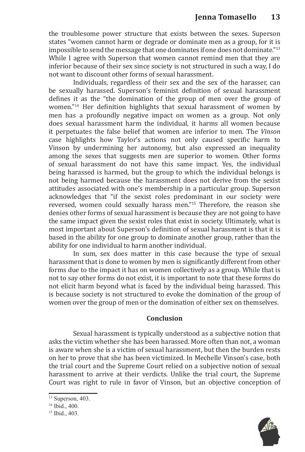the troublesome power structure that exists between the sexes. Superson states "women cannot harm or degrade or dominate men as a group, for it is impossible to send the message that one dominates if one does not dominate."<sup>13</sup> While I agree with Superson that women cannot remind men that they are inferior because of their sex since society is not structured in such a way, I do not want to discount other forms of sexual harassment.

Individuals, regardless of their sex and the sex of the harasser, can be sexually harassed. Superson's feminist definition of sexual harassment defines it as the "the domination of the group of men over the group of women."<sup>14</sup> Her definition highlights that sexual harassment of women by men has a profoundly negative impact on women as a group. Not only does sexual harassment harm the individual, it harms all women because it perpetuates the false belief that women are inferior to men. The *Vinson* case highlights how Taylor's actions not only caused specific harm to Vinson by undermining her autonomy, but also expressed an inequality among the sexes that suggests men are superior to women. Other forms of sexual harassment do not have this same impact. Yes, the individual being harassed is harmed, but the group to which the individual belongs is not being harmed because the harassment does not derive from the sexist attitudes associated with one's membership in a particular group. Superson acknowledges that "if the sexist roles predominant in our society were reversed, women could sexually harass men."15 Therefore, the reason she denies other forms of sexual harassment is because they are not going to have the same impact given the sexist roles that exist in society. Ultimately, what is most important about Superson's definition of sexual harassment is that it is based in the ability for one group to dominate another group, rather than the ability for one individual to harm another individual.

In sum, sex does matter in this case because the type of sexual harassment that is done to women by men is significantly different from other forms due to the impact it has on women collectively as a group. While that is not to say other forms do not exist, it is important to note that these forms do not elicit harm beyond what is faced by the individual being harassed. This is because society is not structured to evoke the domination of the group of women over the group of men or the domination of either sex on themselves.

#### **Conclusion**

Sexual harassment is typically understood as a subjective notion that asks the victim whether she has been harassed. More often than not, a woman is aware when she is a victim of sexual harassment, but then the burden rests on her to prove that she has been victimized. In Mechelle Vinson's case, both the trial court and the Supreme Court relied on a subjective notion of sexual harassment to arrive at their verdicts. Unlike the trial court, the Supreme Court was right to rule in favor of Vinson, but an objective conception of



<sup>&</sup>lt;sup>13</sup> Superson, 403.

<sup>14</sup> Ibid., 400.

<sup>15</sup> Ibid., 403.